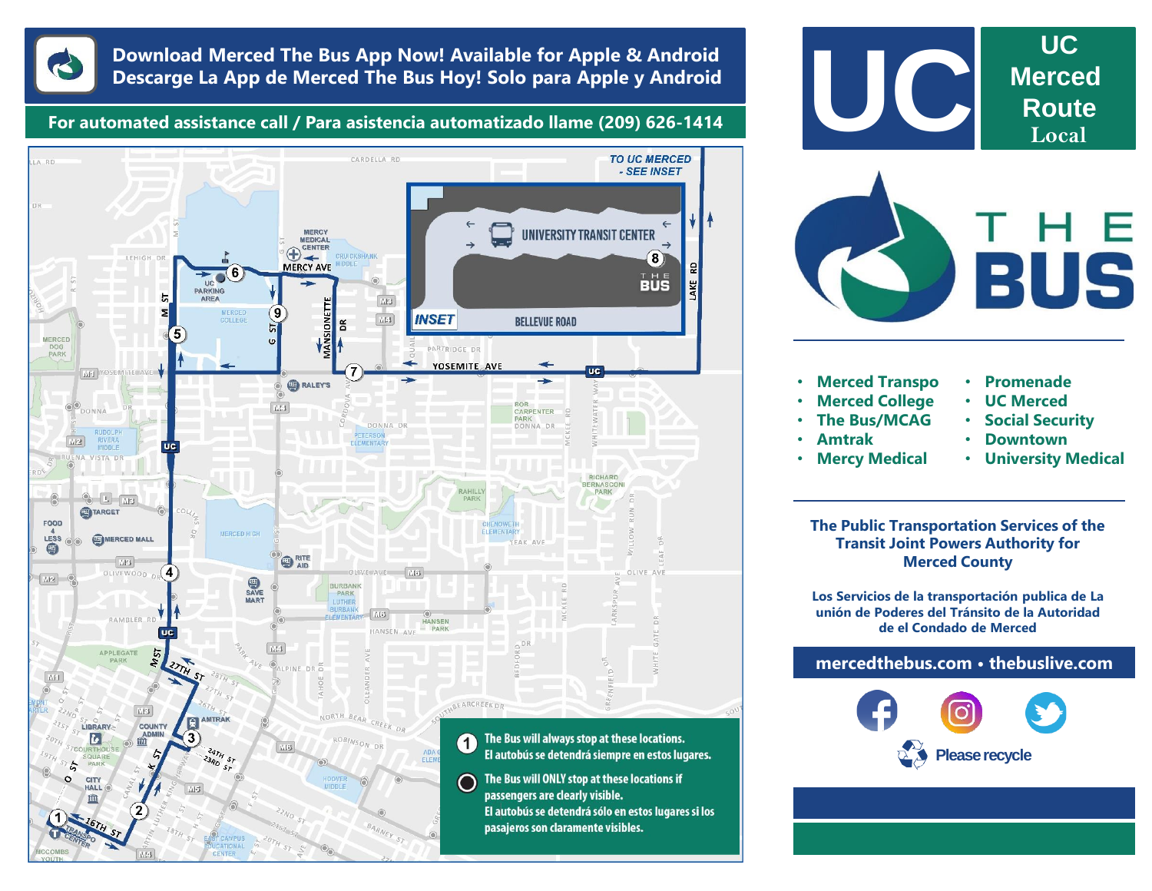

## **Download Merced The Bus App Now! Available for Apple & Android Descarge La App de Merced The Bus Hoy! Solo para Apple y Android**

**For automated assistance call / Para asistencia automatizado llame (209) 626-1414**